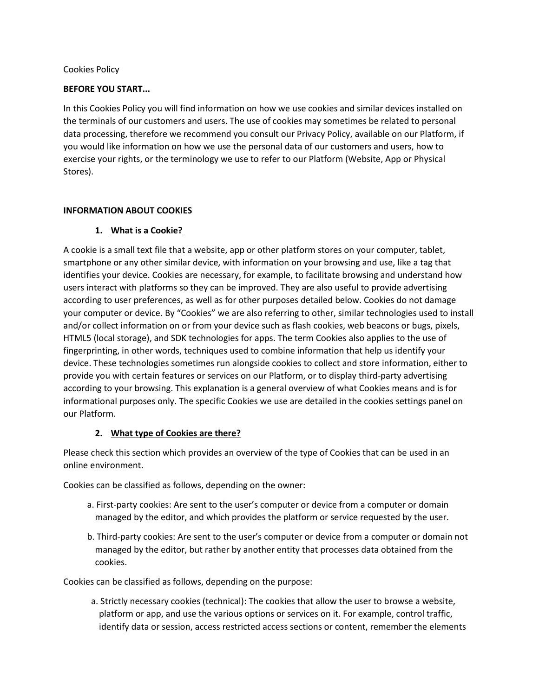### Cookies Policy

### **BEFORE YOU START...**

In this Cookies Policy you will find information on how we use cookies and similar devices installed on the terminals of our customers and users. The use of cookies may sometimes be related to personal data processing, therefore we recommend you consult our Privacy Policy, available on our Platform, if you would like information on how we use the personal data of our customers and users, how to exercise your rights, or the terminology we use to refer to our Platform (Website, App or Physical Stores).

#### **INFORMATION ABOUT COOKIES**

## **1. What is a Cookie?**

A cookie is a small text file that a website, app or other platform stores on your computer, tablet, smartphone or any other similar device, with information on your browsing and use, like a tag that identifies your device. Cookies are necessary, for example, to facilitate browsing and understand how users interact with platforms so they can be improved. They are also useful to provide advertising according to user preferences, as well as for other purposes detailed below. Cookies do not damage your computer or device. By "Cookies" we are also referring to other, similar technologies used to install and/or collect information on or from your device such as flash cookies, web beacons or bugs, pixels, HTML5 (local storage), and SDK technologies for apps. The term Cookies also applies to the use of fingerprinting, in other words, techniques used to combine information that help us identify your device. These technologies sometimes run alongside cookies to collect and store information, either to provide you with certain features or services on our Platform, or to display third-party advertising according to your browsing. This explanation is a general overview of what Cookies means and is for informational purposes only. The specific Cookies we use are detailed in the cookies settings panel on our Platform.

### **2. What type of Cookies are there?**

Please check this section which provides an overview of the type of Cookies that can be used in an online environment.

Cookies can be classified as follows, depending on the owner:

- a. First-party cookies: Are sent to the user's computer or device from a computer or domain managed by the editor, and which provides the platform or service requested by the user.
- b. Third-party cookies: Are sent to the user's computer or device from a computer or domain not managed by the editor, but rather by another entity that processes data obtained from the cookies.

Cookies can be classified as follows, depending on the purpose:

a. Strictly necessary cookies (technical): The cookies that allow the user to browse a website, platform or app, and use the various options or services on it. For example, control traffic, identify data or session, access restricted access sections or content, remember the elements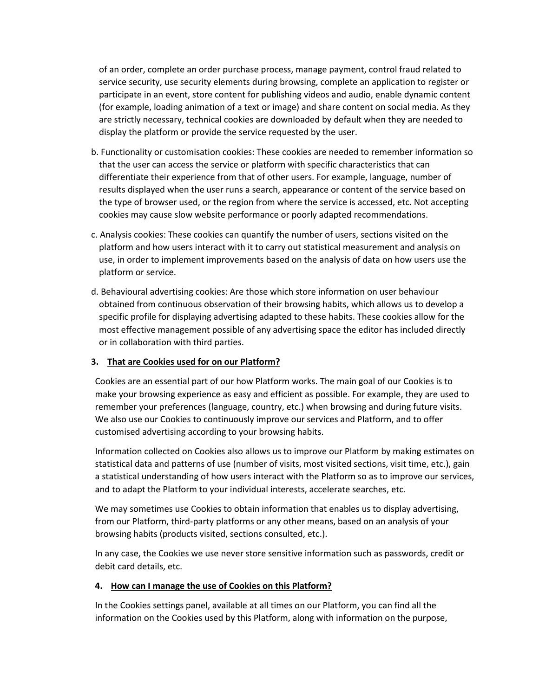of an order, complete an order purchase process, manage payment, control fraud related to service security, use security elements during browsing, complete an application to register or participate in an event, store content for publishing videos and audio, enable dynamic content (for example, loading animation of a text or image) and share content on social media. As they are strictly necessary, technical cookies are downloaded by default when they are needed to display the platform or provide the service requested by the user.

- b. Functionality or customisation cookies: These cookies are needed to remember information so that the user can access the service or platform with specific characteristics that can differentiate their experience from that of other users. For example, language, number of results displayed when the user runs a search, appearance or content of the service based on the type of browser used, or the region from where the service is accessed, etc. Not accepting cookies may cause slow website performance or poorly adapted recommendations.
- c. Analysis cookies: These cookies can quantify the number of users, sections visited on the platform and how users interact with it to carry out statistical measurement and analysis on use, in order to implement improvements based on the analysis of data on how users use the platform or service.
- d. Behavioural advertising cookies: Are those which store information on user behaviour obtained from continuous observation of their browsing habits, which allows us to develop a specific profile for displaying advertising adapted to these habits. These cookies allow for the most effective management possible of any advertising space the editor has included directly or in collaboration with third parties.

### **3. That are Cookies used for on our Platform?**

Cookies are an essential part of our how Platform works. The main goal of our Cookies is to make your browsing experience as easy and efficient as possible. For example, they are used to remember your preferences (language, country, etc.) when browsing and during future visits. We also use our Cookies to continuously improve our services and Platform, and to offer customised advertising according to your browsing habits.

Information collected on Cookies also allows us to improve our Platform by making estimates on statistical data and patterns of use (number of visits, most visited sections, visit time, etc.), gain a statistical understanding of how users interact with the Platform so as to improve our services, and to adapt the Platform to your individual interests, accelerate searches, etc.

We may sometimes use Cookies to obtain information that enables us to display advertising, from our Platform, third-party platforms or any other means, based on an analysis of your browsing habits (products visited, sections consulted, etc.).

In any case, the Cookies we use never store sensitive information such as passwords, credit or debit card details, etc.

### **4. How can I manage the use of Cookies on this Platform?**

In the Cookies settings panel, available at all times on our Platform, you can find all the information on the Cookies used by this Platform, along with information on the purpose,